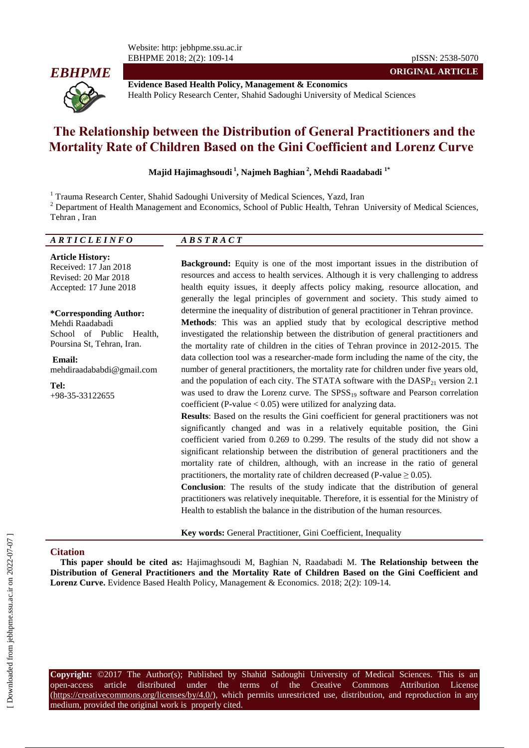Website: http: jebhpme.ssu.ac.ir EBHPME 2018; 2(2): 109-14 pISSN: 2538-5070



**Evidence Based Health Policy, Management & Economics** Health Policy Research Center, Shahid Sadoughi University of Medical Sciences

# **The Relationship between the Distribution of General Practitioners and the Mortality Rate of Children Based on the Gini Coefficient and Lorenz Curve**

**Majid Hajimaghsoudi <sup>1</sup> , Najmeh Baghian <sup>2</sup> , Mehdi Raadabadi 1\***

<sup>1</sup> Trauma Research Center, Shahid Sadoughi University of Medical Sciences, Yazd, Iran

<sup>2</sup> Department of Health Management and Economics, School of Public Health, Tehran University of Medical Sciences, Tehran , Iran

| $\overline{A}\,\overline{R}\,\overline{T}\,\overline{I}\,\overline{C}\,\overline{L}\,\overline{E}\,\overline{I}\,\overline{N}\,\overline{F}\,\overline{O}$ | $\overline{AB}$ S T R A C T |
|------------------------------------------------------------------------------------------------------------------------------------------------------------|-----------------------------|
|                                                                                                                                                            |                             |

**Article History:** Received: 17 Jan 2018 Revised: 20 Mar 2018 Accepted: 17 June 2018

**\*Corresponding Author:** Mehdi Raadabadi School of Public Health, Poursina St, Tehran, Iran.

**Email:** mehdiraadababdi@gmail.com

**Tel:** +98-35-33122655

**Background:** Equity is one of the most important issues in the distribution of resources and access to health services. Although it is very challenging to address health equity issues, it deeply affects policy making, resource allocation, and generally the legal principles of government and society. This study aimed to determine the inequality of distribution of general practitioner in Tehran province. **Methods**: This was an applied study that by ecological descriptive method

**ORIGINAL ARTICLE**

investigated the relationship between the distribution of general practitioners and the mortality rate of children in the cities of Tehran province in 2012-2015. The data collection tool was a researcher-made form including the name of the city, the number of general practitioners, the mortality rate for children under five years old, and the population of each city. The STATA software with the  $DASP_{21}$  version 2.1 was used to draw the Lorenz curve. The  $SPSS_{19}$  software and Pearson correlation coefficient (P-value < 0.05) were utilized for analyzing data.

**Results**: Based on the results the Gini coefficient for general practitioners was not significantly changed and was in a relatively equitable position, the Gini coefficient varied from 0.269 to 0.299. The results of the study did not show a significant relationship between the distribution of general practitioners and the mortality rate of children, although, with an increase in the ratio of general practitioners, the mortality rate of children decreased (P-value  $\geq 0.05$ ).

**Conclusion**: The results of the study indicate that the distribution of general practitioners was relatively inequitable. Therefore, it is essential for the Ministry of Health to establish the balance in the distribution of the human resources.

**Key words:** General Practitioner, Gini Coefficient, Inequality

#### **Citation**

**This paper should be cited as:** Hajimaghsoudi M, Baghian N, Raadabadi M. **The Relationship between the Distribution of General Practitioners and the Mortality Rate of Children Based on the Gini Coefficient and Lorenz Curve.** Evidence Based Health Policy, Management & Economics. 2018; 2(2): 109-14.

**Copyright:** ©2017 The Author(s); Published by Shahid Sadoughi University of Medical Sciences. This is an open-access article distributed under the terms of the Creative Commons Attribution License (https://creativecommons.org/licenses/by/4.0/), which permits unrestricted use, distribution, and reproduction in any medium, provided the original work is properly cited.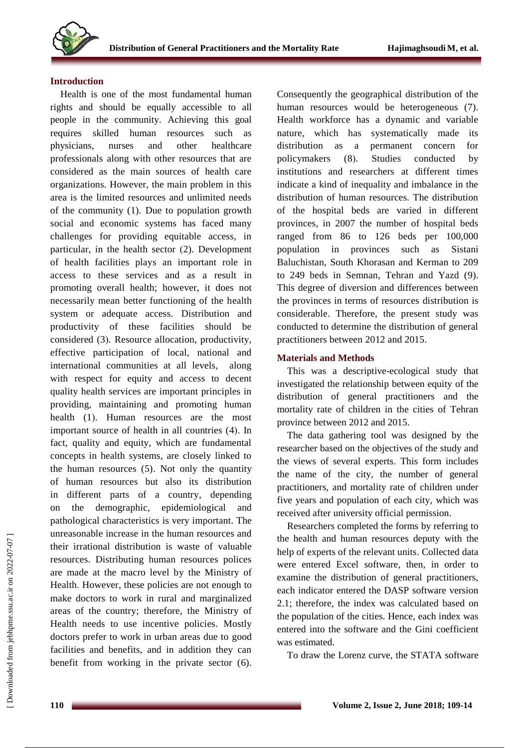

#### **Introduction**

Health is one of the most fundamental human rights and should be equally accessible to all people in the community. Achieving this goal requires skilled human resources such as physicians, nurses and other healthcare professionals along with other resources that are considered as the main sources of health care organizations. However, the main problem in this area is the limited resources and unlimited needs of the community (1). Due to population growth social and economic systems has faced many challenges for providing equitable access, in particular, in the health sector  $(2)$ . Development of health facilities plays an important role in access to these services and as a result in promoting overall health; however, it does not necessarily mean better functioning of the health system or adequate access. Distribution and productivity of these facilities should be considered (3). Resource allocation, productivity, effective participation of local, national and international communities at all levels, along with respect for equity and access to decent quality health services are important principles in providing, maintaining and promoting human health (1). Human resources are the most important source of health in all countries (4). In fact, quality and equity, which are fundamental concepts in health systems, are closely linked to the human resources (5). Not only the quantity of human resources but also its distribution in different parts of a country, depending on the demographic, epidemiological and pathological characteristics is very important. The unreasonable increase in the human resources and their irrational distribution is waste of valuable resources. Distributing human resources polices are made at the macro level by the Ministry of Health. However, these policies are not enough to make doctors to work in rural and marginalized areas of the country; therefore, the Ministry of Health needs to use incentive policies. Mostly doctors prefer to work in urban areas due to good facilities and benefits, and in addition they can benefit from working in the private sector (6).

Consequently the geographical distribution of the human resources would be heterogeneous (7). Health workforce has a dynamic and variable nature, which has systematically made its distribution as a permanent concern for policymakers (8). Studies conducted by institutions and researchers at different times indicate a kind of inequality and imbalance in the distribution of human resources. The distribution of the hospital beds are varied in different provinces, in 2007 the number of hospital beds ranged from 86 to 126 beds per 100,000 population in provinces such as Sistani Baluchistan, South Khorasan and Kerman to 209 to 249 beds in Semnan, Tehran and Yazd (9). This degree of diversion and differences between the provinces in terms of resources distribution is considerable. Therefore, the present study was conducted to determine the distribution of general practitioners between 2012 and 2015.

# **Materials and Methods**

This was a descriptive-ecological study that investigated the relationship between equity of the distribution of general practitioners and the mortality rate of children in the cities of Tehran province between 2012 and 2015.

The data gathering tool was designed by the researcher based on the objectives of the study and the views of several experts. This form includes the name of the city, the number of general practitioners, and mortality rate of children under five years and population of each city, which was received after university official permission.

Researchers completed the forms by referring to the health and human resources deputy with the help of experts of the relevant units. Collected data were entered Excel software, then, in order to examine the distribution of general practitioners, each indicator entered the DASP software version 2.1; therefore, the index was calculated based on the population of the cities. Hence, each index was entered into the software and the Gini coefficient was estimated.

To draw the Lorenz curve, the STATA software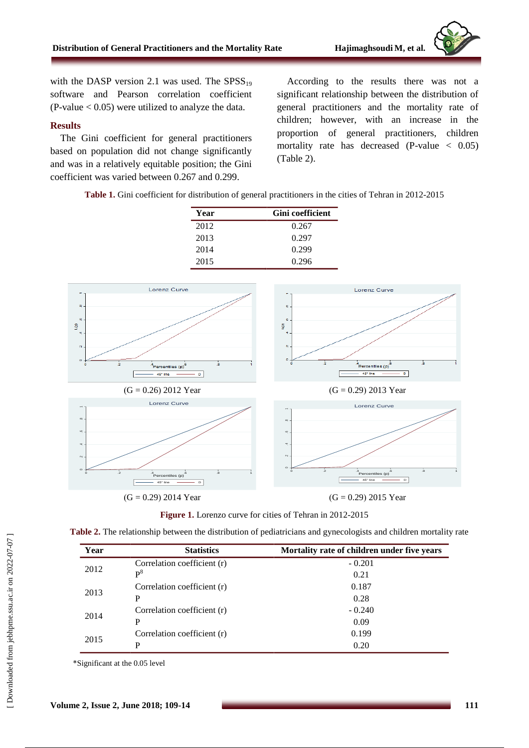with the DASP version 2.1 was used. The  $SPSS_{19}$ software and Pearson correlation coefficient  $(P-value < 0.05)$  were utilized to analyze the data.

## **Results**

The Gini coefficient for general practitioners based on population did not change significantly and was in a relatively equitable position; the Gini coefficient was varied between 0.267 and 0.299.

According to the results there was not a significant relationship between the distribution of general practitioners and the mortality rate of children; however, with an increase in the proportion of general practitioners, children mortality rate has decreased  $(P-value < 0.05)$ (Table 2).

**Table 1.** Gini coefficient for distribution of general practitioners in the cities of Tehran in 2012-2015

| Year | <b>Gini</b> coefficient |
|------|-------------------------|
| 2012 | 0.267                   |
| 2013 | 0.297                   |
| 2014 | 0.299                   |
| 2015 | 0.296                   |







| Year                                         | <b>Statistics</b>           | Mortality rate of children under five years |
|----------------------------------------------|-----------------------------|---------------------------------------------|
| Correlation coefficient (r)<br>2012<br>$P^8$ |                             | $-0.201$                                    |
|                                              | 0.21                        |                                             |
| Correlation coefficient (r)<br>2013          | 0.187                       |                                             |
|                                              | P                           | 0.28                                        |
| Correlation coefficient (r)                  | $-0.240$                    |                                             |
| 2014                                         | P                           | 0.09                                        |
| 2015                                         | Correlation coefficient (r) | 0.199                                       |
|                                              | P                           | 0.20                                        |

\*Significant at the 0.05 level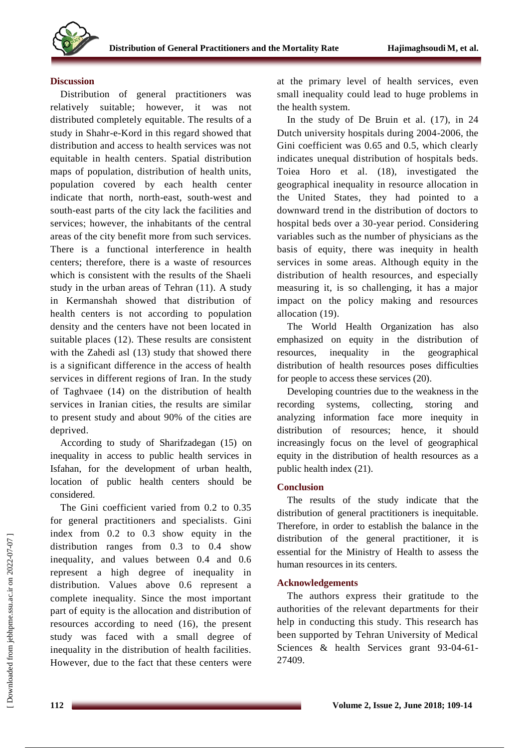

### **Discussion**

Distribution of general practitioners was relatively suitable; however, it was not distributed completely equitable. The results of a study in Shahr-e-Kord in this regard showed that distribution and access to health services was not equitable in health centers. Spatial distribution maps of population, distribution of health units, population covered by each health center indicate that north, north-east, south-west and south-east parts of the city lack the facilities and services; however, the inhabitants of the central areas of the city benefit more from such services. There is a functional interference in health centers; therefore, there is a waste of resources which is consistent with the results of the Shaeli study in the urban areas of Tehran (11). A study in Kermanshah showed that distribution of health centers is not according to population density and the centers have not been located in suitable places  $(12)$ . These results are consistent with the Zahedi asl (13) study that showed there is a significant difference in the access of health services in different regions of Iran. In the study of Taghvaee (14) on the distribution of health services in Iranian cities, the results are similar to present study and about 90% of the cities are deprived.

According to study of Sharifzadegan (15) on inequality in access to public health services in Isfahan, for the development of urban health, location of public health centers should be considered.

The Gini coefficient varied from 0.2 to 0.35 for general practitioners and specialists. Gini index from 0.2 to 0.3 show equity in the distribution ranges from 0.3 to 0.4 show inequality, and values between 0.4 and 0.6 represent a high degree of inequality in distribution. Values above 0.6 represent a complete inequality. Since the most important part of equity is the allocation and distribution of resources according to need (16), the present study was faced with a small degree of inequality in the distribution of health facilities. However, due to the fact that these centers were at the primary level of health services, even small inequality could lead to huge problems in the health system.

In the study of De Bruin et al. (17), in 24 Dutch university hospitals during 2004-2006, the Gini coefficient was 0.65 and 0.5, which clearly indicates unequal distribution of hospitals beds. Toiea Horo et al. (18), investigated the geographical inequality in resource allocation in the United States, they had pointed to a downward trend in the distribution of doctors to hospital beds over a 30-year period. Considering variables such as the number of physicians as the basis of equity, there was inequity in health services in some areas. Although equity in the distribution of health resources, and especially measuring it, is so challenging, it has a major impact on the policy making and resources allocation (19).

The World Health Organization has also emphasized on equity in the distribution of resources, inequality in the geographical distribution of health resources poses difficulties for people to access these services (20).

Developing countries due to the weakness in the recording systems, collecting, storing and analyzing information face more inequity in distribution of resources; hence, it should increasingly focus on the level of geographical equity in the distribution of health resources as a public health index (21).

# **Conclusion**

The results of the study indicate that the distribution of general practitioners is inequitable. Therefore, in order to establish the balance in the distribution of the general practitioner, it is essential for the Ministry of Health to assess the human resources in its centers.

# **Acknowledgements**

The authors express their gratitude to the authorities of the relevant departments for their help in conducting this study. This research has been supported by Tehran University of Medical Sciences & health Services grant 93-04-61- 27409.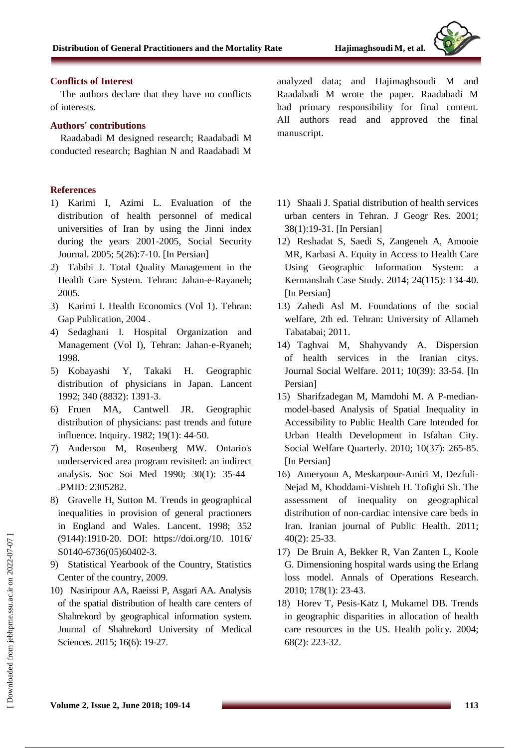# **Conflicts of Interest**

The authors declare that they have no conflicts of interests.

# **Authors' contributions**

Raadabadi M designed research; Raadabadi M conducted research; Baghian N and Raadabadi M

# **References**

- 1) Karimi I, Azimi L. Evaluation of the distribution of health personnel of medical universities of Iran by using the Jinni index during the years 2001-2005, Social Security Journal. 2005; 5(26):7-10. [In Persian]
- 2) Tabibi J. Total Quality Management in the Health Care System. Tehran: Jahan-e-Rayaneh; 2005.
- 3) Karimi I. Health Economics (Vol 1). Tehran: Gap Publication, 2004 .
- 4) Sedaghani I. Hospital Organization and Management (Vol I), Tehran: Jahan-e-Ryaneh; 1998.
- 5) Kobayashi Y, Takaki H. Geographic distribution of physicians in Japan. Lancent 1992; 340 (8832): 1391-3.
- 6) Fruen MA, Cantwell JR. Geographic distribution of physicians: past trends and future influence. Inquiry. 1982; 19(1): 44-50.
- 7) Anderson M, Rosenberg MW. Ontario's underserviced area program revisited: an indirect analysis. Soc Soi Med 1990; 30(1): 35-44 .PMID: 2305282.
- 8) Gravelle H, Sutton M. Trends in geographical inequalities in provision of general practioners in England and Wales. Lancent. 1998; 352 (9144):1910-20. DOI: https://doi.org/10. 1016/ S0140-6736(05)60402-3.
- 9) Statistical Yearbook of the Country, Statistics Center of the country, 2009.
- 10) Nasiripour AA, Raeissi P, Asgari AA. Analysis of the spatial distribution of health care centers of Shahrekord by geographical information system. Journal of Shahrekord University of Medical Sciences. 2015; 16(6): 19-27.

analyzed data; and Hajimaghsoudi M and Raadabadi M wrote the paper. Raadabadi M had primary responsibility for final content. All authors read and approved the final manuscript.

- 11) Shaali J. Spatial distribution of health services urban centers in Tehran. J Geogr Res. 2001; 38(1):19-31. [In Persian]
- 12) Reshadat S, Saedi S, Zangeneh A, Amooie MR, Karbasi A. Equity in Access to Health Care Using Geographic Information System: a Kermanshah Case Study. 2014; 24(115): 134-40. [In Persian]
- 13) Zahedi Asl M. Foundations of the social welfare, 2th ed. Tehran: University of Allameh Tabatabai; 2011.
- 14) Taghvai M, Shahyvandy A. Dispersion of health services in the Iranian citys. Journal Social Welfare. 2011; 10(39): 33-54. [In Persian]
- 15) Sharifzadegan M, Mamdohi M. A P-medianmodel-based Analysis of Spatial Inequality in Accessibility to Public Health Care Intended for Urban Health Development in Isfahan City. Social Welfare Quarterly. 2010; 10(37): 265-85. [In Persian]
- 16) Ameryoun A, Meskarpour-Amiri M, Dezfuli-Nejad M, Khoddami-Vishteh H. Tofighi Sh. The assessment of inequality on geographical distribution of non-cardiac intensive care beds in Iran. Iranian journal of Public Health. 2011; 40(2): 25-33.
- 17) De Bruin A, Bekker R, Van Zanten L, Koole G. Dimensioning hospital wards using the Erlang loss model. Annals of Operations Research. 2010; 178(1): 23-43.
- 18) Horev T, Pesis-Katz I, Mukamel DB. Trends in geographic disparities in allocation of health care resources in the US. Health policy. 2004; 68(2): 223-32.